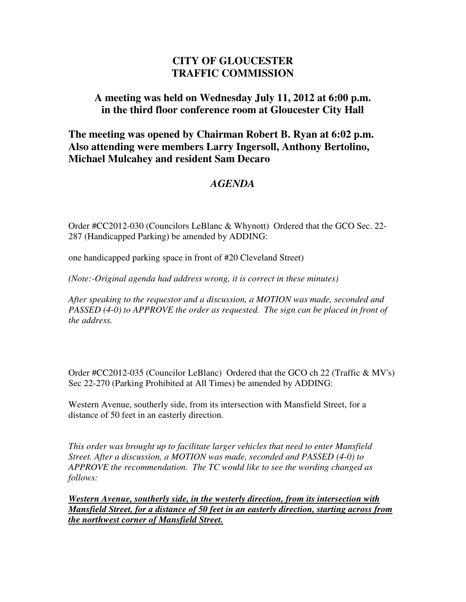## **CITY OF GLOUCESTER TRAFFIC COMMISSION**

## **A meeting was held on Wednesday July 11, 2012 at 6:00 p.m. in the third floor conference room at Gloucester City Hall**

**The meeting was opened by Chairman Robert B. Ryan at 6:02 p.m. Also attending were members Larry Ingersoll, Anthony Bertolino, Michael Mulcahey and resident Sam Decaro** 

## *AGENDA*

Order #CC2012-030 (Councilors LeBlanc & Whynott) Ordered that the GCO Sec. 22- 287 (Handicapped Parking) be amended by ADDING:

one handicapped parking space in front of #20 Cleveland Street)

*(Note:-Original agenda had address wrong, it is correct in these minutes)* 

*After speaking to the requestor and a discussion, a MOTION was made, seconded and PASSED (4-0) to APPROVE the order as requested. The sign can be placed in front of the address.* 

Order #CC2012-035 (Councilor LeBlanc) Ordered that the GCO ch 22 (Traffic & MV's) Sec 22-270 (Parking Prohibited at All Times) be amended by ADDING:

Western Avenue, southerly side, from its intersection with Mansfield Street, for a distance of 50 feet in an easterly direction.

*This order was brought up to facilitate larger vehicles that need to enter Mansfield Street. After a discussion, a MOTION was made, seconded and PASSED (4-0) to APPROVE the recommendation. The TC would like to see the wording changed as follows:* 

*Western Avenue, southerly side, in the westerly direction, from its intersection with Mansfield Street, for a distance of 50 feet in an easterly direction, starting across from the northwest corner of Mansfield Street.*